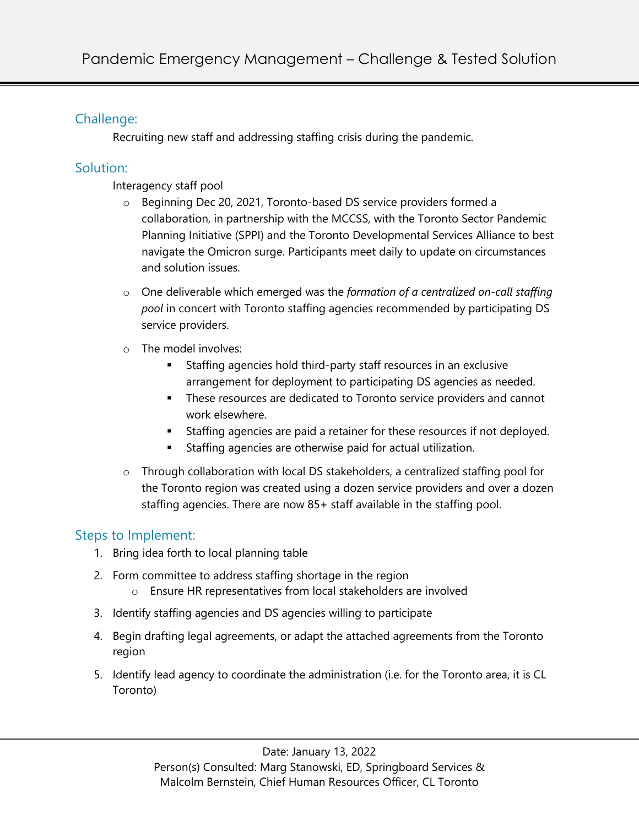### Challenge:

Recruiting new staff and addressing staffing crisis during the pandemic.

### Solution:

Interagency staff pool

- o Beginning Dec 20, 2021, Toronto-based DS service providers formed a collaboration, in partnership with the MCCSS, with the Toronto Sector Pandemic Planning Initiative (SPPI) and the Toronto Developmental Services Alliance to best navigate the Omicron surge. Participants meet daily to update on circumstances and solution issues.
- o One deliverable which emerged was the *formation of a centralized on-call staffing pool* in concert with Toronto staffing agencies recommended by participating DS service providers.
- o The model involves:
	- § Staffing agencies hold third-party staff resources in an exclusive arrangement for deployment to participating DS agencies as needed.
	- **•** These resources are dedicated to Toronto service providers and cannot work elsewhere.
	- **•** Staffing agencies are paid a retainer for these resources if not deployed.
	- Staffing agencies are otherwise paid for actual utilization.
- o Through collaboration with local DS stakeholders, a centralized staffing pool for the Toronto region was created using a dozen service providers and over a dozen staffing agencies. There are now 85+ staff available in the staffing pool.

# Steps to Implement:

- 1. Bring idea forth to local planning table
- 2. Form committee to address staffing shortage in the region
	- o Ensure HR representatives from local stakeholders are involved
- 3. Identify staffing agencies and DS agencies willing to participate
- 4. Begin drafting legal agreements, or adapt the attached agreements from the Toronto region
- 5. Identify lead agency to coordinate the administration (i.e. for the Toronto area, it is CL Toronto)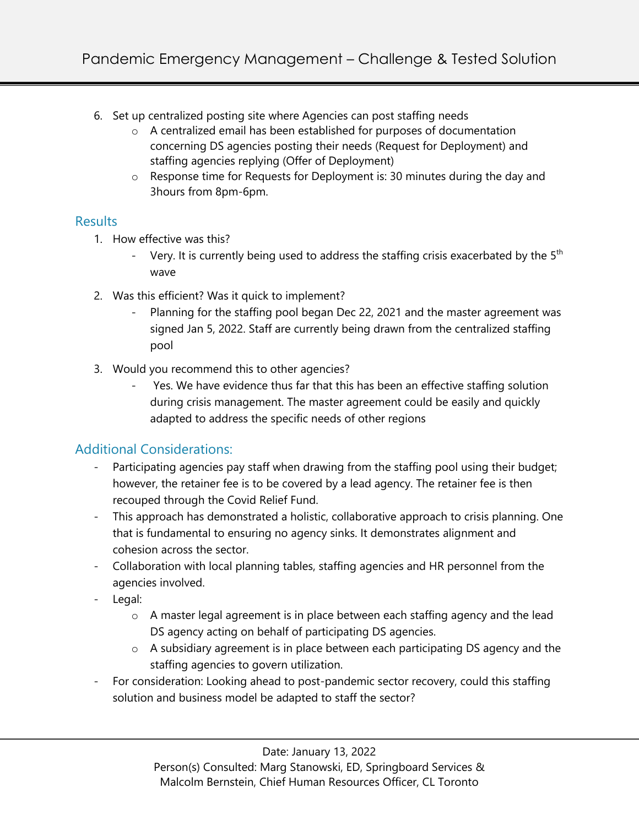- 6. Set up centralized posting site where Agencies can post staffing needs
	- o A centralized email has been established for purposes of documentation concerning DS agencies posting their needs (Request for Deployment) and staffing agencies replying (Offer of Deployment)
	- o Response time for Requests for Deployment is: 30 minutes during the day and 3hours from 8pm-6pm.

#### **Results**

- 1. How effective was this?
	- Very. It is currently being used to address the staffing crisis exacerbated by the  $5<sup>th</sup>$ wave
- 2. Was this efficient? Was it quick to implement?
	- Planning for the staffing pool began Dec 22, 2021 and the master agreement was signed Jan 5, 2022. Staff are currently being drawn from the centralized staffing pool
- 3. Would you recommend this to other agencies?
	- Yes. We have evidence thus far that this has been an effective staffing solution during crisis management. The master agreement could be easily and quickly adapted to address the specific needs of other regions

# Additional Considerations:

- Participating agencies pay staff when drawing from the staffing pool using their budget; however, the retainer fee is to be covered by a lead agency. The retainer fee is then recouped through the Covid Relief Fund.
- This approach has demonstrated a holistic, collaborative approach to crisis planning. One that is fundamental to ensuring no agency sinks. It demonstrates alignment and cohesion across the sector.
- Collaboration with local planning tables, staffing agencies and HR personnel from the agencies involved.
- Legal:
	- o A master legal agreement is in place between each staffing agency and the lead DS agency acting on behalf of participating DS agencies.
	- o A subsidiary agreement is in place between each participating DS agency and the staffing agencies to govern utilization.
- For consideration: Looking ahead to post-pandemic sector recovery, could this staffing solution and business model be adapted to staff the sector?